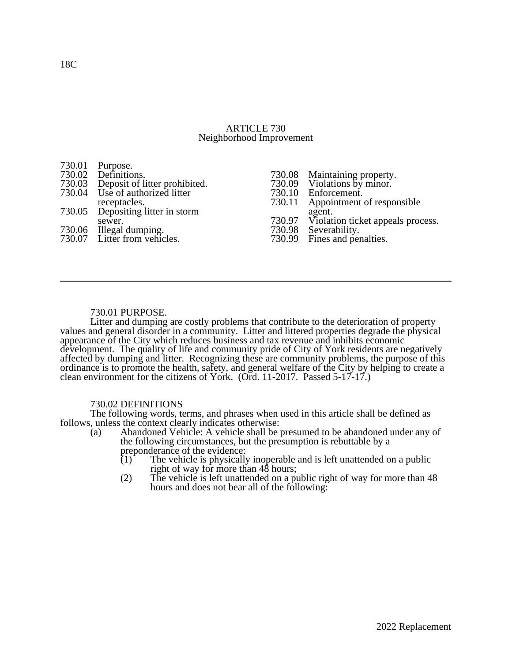### ARTICLE 730 Neighborhood Improvement

| 730.01 Purpose.                                         |                                                             |
|---------------------------------------------------------|-------------------------------------------------------------|
| 730.02 Definitions.                                     | 730.08 Maintaining property.<br>730.09 Violations by minor. |
| 730.03 Deposit of litter prohibited.                    |                                                             |
| 730.04 Use of authorized litter                         | 730.10 Enforcement.                                         |
| receptacles.                                            | 730.11 Appointment of responsible                           |
| 730.05 Depositing litter in storm                       | agent.                                                      |
| sewer.                                                  | 730.97 Violation ticket appeals process.                    |
| 730.06 Illegal dumping.<br>730.07 Litter from vehicles. | 730.98 Severability.                                        |
|                                                         | 730.99 Fines and penalties.                                 |
|                                                         |                                                             |

## 730.01 PURPOSE.

Litter and dumping are costly problems that contribute to the deterioration of property values and general disorder in a community. Litter and littered properties degrade the physical appearance of the City which reduces business and tax revenue and inhibits economic development. The quality of life and community pride of City of York residents are negatively affected by dumping and litter. Recognizing these are community problems, the purpose of this ordinance is to promote the health, safety, and general welfare of the City by helping to create a clean environment for the citizens of York. (Ord. 11-2017. Passed 5-17-17.)

## 730.02 DEFINITIONS

The following words, terms, and phrases when used in this article shall be defined as follows, unless the context clearly indicates otherwise:<br>(a) Abandoned Vehicle: A vehicle shall be

- Abandoned Vehicle: A vehicle shall be presumed to be abandoned under any of the following circumstances, but the presumption is rebuttable by a preponderance of the evidence:
	- $(1)$  The vehicle is physically inoperable and is left unattended on a public right of way for more than 48 hours;
	- (2) The vehicle is left unattended on a public right of way for more than 48 hours and does not bear all of the following: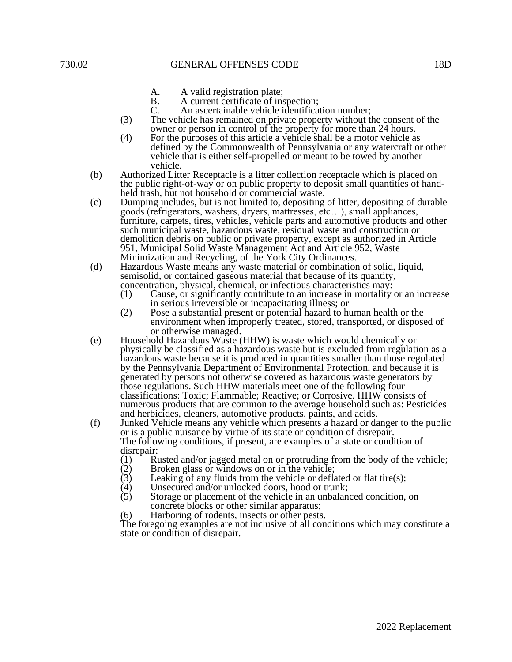- A. A valid registration plate;<br>B. A current certificate of ins
- B. A current certificate of inspection;<br>C. An ascertainable vehicle identification
	- An ascertainable vehicle identification number;
- (3) The vehicle has remained on private property without the consent of the owner or person in control of the property for more than 24 hours.
- (4) For the purposes of this article a vehicle shall be a motor vehicle as defined by the Commonwealth of Pennsylvania or any watercraft or other vehicle that is either self-propelled or meant to be towed by another vehicle.
- (b) Authorized Litter Receptacle is a litter collection receptacle which is placed on the public right-of-way or on public property to deposit small quantities of handheld trash, but not household or commercial waste.
- (c) Dumping includes, but is not limited to, depositing of litter, depositing of durable goods (refrigerators, washers, dryers, mattresses, etc…), small appliances, furniture, carpets, tires, vehicles, vehicle parts and automotive products and other such municipal waste, hazardous waste, residual waste and construction or demolition debris on public or private property, except as authorized in Article 951, Municipal Solid Waste Management Act and Article 952, Waste Minimization and Recycling, of the York City Ordinances.
- (d) Hazardous Waste means any waste material or combination of solid, liquid, semisolid, or contained gaseous material that because of its quantity,
	- concentration, physical, chemical, or infectious characteristics may:<br>(1) Cause, or significantly contribute to an increase in mortality Cause, or significantly contribute to an increase in mortality or an increase in serious irreversible or incapacitating illness; or
	- (2) Pose a substantial present or potential hazard to human health or the environment when improperly treated, stored, transported, or disposed of or otherwise managed.
- (e) Household Hazardous Waste (HHW) is waste which would chemically or physically be classified as a hazardous waste but is excluded from regulation as a hazardous waste because it is produced in quantities smaller than those regulated by the Pennsylvania Department of Environmental Protection, and because it is generated by persons not otherwise covered as hazardous waste generators by those regulations. Such HHW materials meet one of the following four classifications: Toxic; Flammable; Reactive; or Corrosive. HHW consists of numerous products that are common to the average household such as: Pesticides and herbicides, cleaners, automotive products, paints, and acids.
- (f) Junked Vehicle means any vehicle which presents a hazard or danger to the public or is a public nuisance by virtue of its state or condition of disrepair. The following conditions, if present, are examples of a state or condition of disrepair:<br> $(1)$  R
	- (1) Rusted and/or jagged metal on or protruding from the body of the vehicle;<br>(2) Broken glass or windows on or in the vehicle;
	-
	- (2) Broken glass or windows on or in the vehicle;<br>(3) Leaking of any fluids from the vehicle or defla (3) Leaking of any fluids from the vehicle or deflated or flat tire(s);<br>(4) Unsecured and/or unlocked doors, hood or trunk;
	- (4) Unsecured and/or unlocked doors, hood or trunk;<br>(5) Storage or placement of the vehicle in an unbalane
	- Storage or placement of the vehicle in an unbalanced condition, on concrete blocks or other similar apparatus;
	- (6) Harboring of rodents, insects or other pests.

The foregoing examples are not inclusive of all conditions which may constitute a state or condition of disrepair.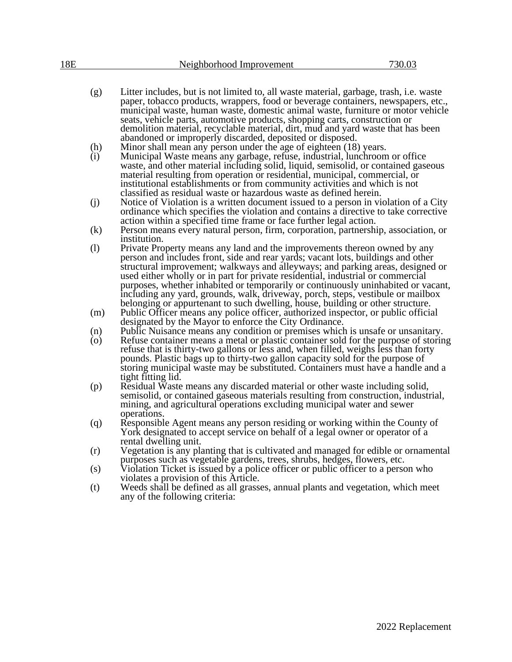| 18E | Neighborhood Improvement | 730.03 |
|-----|--------------------------|--------|
|     |                          |        |

- (g) Litter includes, but is not limited to, all waste material, garbage, trash, i.e. waste paper, tobacco products, wrappers, food or beverage containers, newspapers, etc., municipal waste, human waste, domestic animal waste, furniture or motor vehicle seats, vehicle parts, automotive products, shopping carts, construction or demolition material, recyclable material, dirt, mud and yard waste that has been abandoned or improperly discarded, deposited or disposed.
- (h) Minor shall mean any person under the age of eighteen (18) years.<br>(i) Municipal Waste means any garbage, refuse, industrial, lunchroom
- Municipal Waste means any garbage, refuse, industrial, lunchroom or office waste, and other material including solid, liquid, semisolid, or contained gaseous material resulting from operation or residential, municipal, commercial, or institutional establishments or from community activities and which is not classified as residual waste or hazardous waste as defined herein.
- (j) Notice of Violation is a written document issued to a person in violation of a City ordinance which specifies the violation and contains a directive to take corrective action within a specified time frame or face further legal action.
- (k) Person means every natural person, firm, corporation, partnership, association, or institution.
- (l) Private Property means any land and the improvements thereon owned by any person and includes front, side and rear yards; vacant lots, buildings and other structural improvement; walkways and alleyways; and parking areas, designed or used either wholly or in part for private residential, industrial or commercial purposes, whether inhabited or temporarily or continuously uninhabited or vacant, including any yard, grounds, walk, driveway, porch, steps, vestibule or mailbox belonging or appurtenant to such dwelling, house, building or other structure.
- (m) Public Officer means any police officer, authorized inspector, or public official designated by the Mayor to enforce the City Ordinance.
- (n) Public Nuisance means any condition or premises which is unsafe or unsanitary.<br>
(o) Refuse container means a metal or plastic container sold for the purpose of storing
- Refuse container means a metal or plastic container sold for the purpose of storing refuse that is thirty-two gallons or less and, when filled, weighs less than forty pounds. Plastic bags up to thirty-two gallon capacity sold for the purpose of storing municipal waste may be substituted. Containers must have a handle and a tight fitting lid.
- (p) Residual Waste means any discarded material or other waste including solid, semisolid, or contained gaseous materials resulting from construction, industrial, mining, and agricultural operations excluding municipal water and sewer operations.
- (q) Responsible Agent means any person residing or working within the County of York designated to accept service on behalf of a legal owner or operator of a rental dwelling unit.
- (r) Vegetation is any planting that is cultivated and managed for edible or ornamental purposes such as vegetable gardens, trees, shrubs, hedges, flowers, etc.
- (s) Violation Ticket is issued by a police officer or public officer to a person who violates a provision of this Article.
- (t) Weeds shall be defined as all grasses, annual plants and vegetation, which meet any of the following criteria: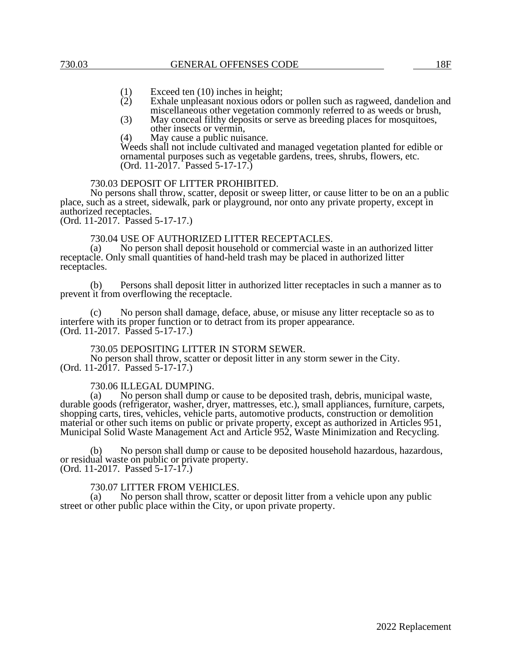- (1) Exceed ten (10) inches in height;<br>(2) Exhale unpleasant noxious odors
- Exhale unpleasant noxious odors or pollen such as ragweed, dandelion and miscellaneous other vegetation commonly referred to as weeds or brush,
- (3) May conceal filthy deposits or serve as breeding places for mosquitoes, other insects or vermin,
- (4) May cause a public nuisance.

Weeds shall not include cultivated and managed vegetation planted for edible or ornamental purposes such as vegetable gardens, trees, shrubs, flowers, etc. (Ord. 11-2017. Passed 5-17-17.)

### 730.03 DEPOSIT OF LITTER PROHIBITED.

No persons shall throw, scatter, deposit or sweep litter, or cause litter to be on an a public place, such as a street, sidewalk, park or playground, nor onto any private property, except in authorized receptacles.

(Ord. 11-2017. Passed 5-17-17.)

# 730.04 USE OF AUTHORIZED LITTER RECEPTACLES.<br>(a) No person shall deposit household or commercial was

No person shall deposit household or commercial waste in an authorized litter receptacle. Only small quantities of hand-held trash may be placed in authorized litter receptacles.

(b) Persons shall deposit litter in authorized litter receptacles in such a manner as to prevent it from overflowing the receptacle.

(c) No person shall damage, deface, abuse, or misuse any litter receptacle so as to interfere with its proper function or to detract from its proper appearance. (Ord. 11-2017. Passed 5-17-17.)

### 730.05 DEPOSITING LITTER IN STORM SEWER.

No person shall throw, scatter or deposit litter in any storm sewer in the City. (Ord. 11-2017. Passed 5-17-17.)

# 730.06 ILLEGAL DUMPING.<br>(a) No person shall dump o

No person shall dump or cause to be deposited trash, debris, municipal waste, durable goods (refrigerator, washer, dryer, mattresses, etc.), small appliances, furniture, carpets, shopping carts, tires, vehicles, vehicle parts, automotive products, construction or demolition material or other such items on public or private property, except as authorized in Articles 951, Municipal Solid Waste Management Act and Article 952, Waste Minimization and Recycling.

(b) No person shall dump or cause to be deposited household hazardous, hazardous, or residual waste on public or private property. (Ord. 11-2017. Passed 5-17-17.)

## 730.07 LITTER FROM VEHICLES.<br>(a) No person shall throw, scatter

No person shall throw, scatter or deposit litter from a vehicle upon any public street or other public place within the City, or upon private property.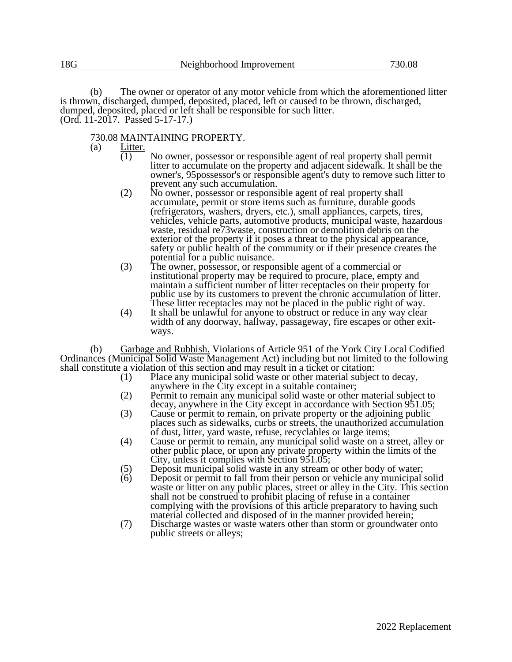(b) The owner or operator of any motor vehicle from which the aforementioned litter is thrown, discharged, dumped, deposited, placed, left or caused to be thrown, discharged, dumped, deposited, placed or left shall be responsible for such litter. (Ord. 11-2017. Passed 5-17-17.)

730.08 MAINTAINING PROPERTY.<br>(a) Litter.

Litter.

- (1) No owner, possessor or responsible agent of real property shall permit litter to accumulate on the property and adjacent sidewalk. It shall be the owner's, 95possessor's or responsible agent's duty to remove such litter to prevent any such accumulation.
- (2) No owner, possessor or responsible agent of real property shall accumulate, permit or store items such as furniture, durable goods (refrigerators, washers, dryers, etc.), small appliances, carpets, tires, vehicles, vehicle parts, automotive products, municipal waste, hazardous waste, residual re73waste, construction or demolition debris on the exterior of the property if it poses a threat to the physical appearance, safety or public health of the community or if their presence creates the potential for a public nuisance.
- (3) The owner, possessor, or responsible agent of a commercial or institutional property may be required to procure, place, empty and maintain a sufficient number of litter receptacles on their property for public use by its customers to prevent the chronic accumulation of litter. These litter receptacles may not be placed in the public right of way.
- (4) It shall be unlawful for anyone to obstruct or reduce in any way clear width of any doorway, hallway, passageway, fire escapes or other exitways.

(b) Garbage and Rubbish. Violations of Article 951 of the York City Local Codified Ordinances (Municipal Solid Waste Management Act) including but not limited to the following shall constitute a violation of this section and may result in a ticket or citation:<br>(1) Place any municipal solid waste or other material subjection.

- Place any municipal solid waste or other material subject to decay, anywhere in the City except in a suitable container;
- (2) Permit to remain any municipal solid waste or other material subject to decay, anywhere in the City except in accordance with Section 951.05;
- (3) Cause or permit to remain, on private property or the adjoining public places such as sidewalks, curbs or streets, the unauthorized accumulation of dust, litter, yard waste, refuse, recyclables or large items;
- (4) Cause or permit to remain, any municipal solid waste on a street, alley or other public place, or upon any private property within the limits of the City, unless it complies with Section 951.05;
- (5) Deposit municipal solid waste in any stream or other body of water;
- (6) Deposit or permit to fall from their person or vehicle any municipal solid waste or litter on any public places, street or alley in the City. This section shall not be construed to prohibit placing of refuse in a container complying with the provisions of this article preparatory to having such material collected and disposed of in the manner provided herein;
- (7) Discharge wastes or waste waters other than storm or groundwater onto public streets or alleys;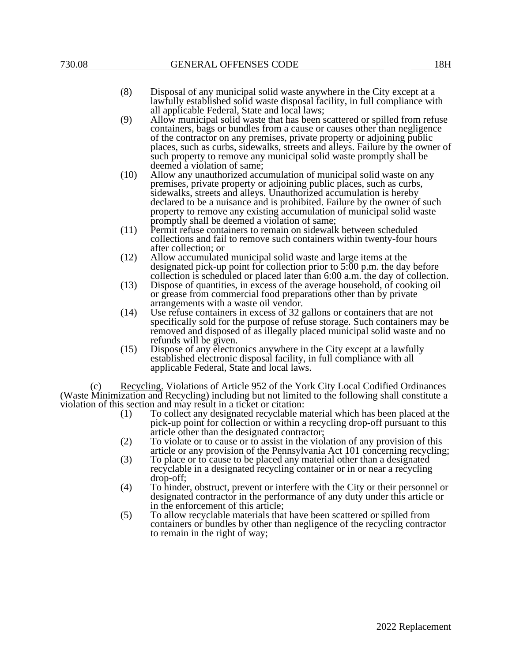- (8) Disposal of any municipal solid waste anywhere in the City except at a lawfully established solid waste disposal facility, in full compliance with all applicable Federal, State and local laws;
- (9) Allow municipal solid waste that has been scattered or spilled from refuse containers, bags or bundles from a cause or causes other than negligence of the contractor on any premises, private property or adjoining public places, such as curbs, sidewalks, streets and alleys. Failure by the owner of such property to remove any municipal solid waste promptly shall be deemed a violation of same;
- (10) Allow any unauthorized accumulation of municipal solid waste on any premises, private property or adjoining public places, such as curbs, sidewalks, streets and alleys. Unauthorized accumulation is hereby declared to be a nuisance and is prohibited. Failure by the owner of such property to remove any existing accumulation of municipal solid waste promptly shall be deemed a violation of same;
- (11) Permit refuse containers to remain on sidewalk between scheduled collections and fail to remove such containers within twenty-four hours after collection; or
- (12) Allow accumulated municipal solid waste and large items at the designated pick-up point for collection prior to 5:00 p.m. the day before collection is scheduled or placed later than 6:00 a.m. the day of collection.
- (13) Dispose of quantities, in excess of the average household, of cooking oil or grease from commercial food preparations other than by private arrangements with a waste oil vendor.
- (14) Use refuse containers in excess of 32 gallons or containers that are not specifically sold for the purpose of refuse storage. Such containers may be removed and disposed of as illegally placed municipal solid waste and no refunds will be given.
- (15) Dispose of any electronics anywhere in the City except at a lawfully established electronic disposal facility, in full compliance with all applicable Federal, State and local laws.

Recycling. Violations of Article 952 of the York City Local Codified Ordinances (Waste Minimization and Recycling) including but not limited to the following shall constitute a violation of this section and may result in a ticket or citation:

- (1) To collect any designated recyclable material which has been placed at the pick-up point for collection or within a recycling drop-off pursuant to this article other than the designated contractor;
- (2) To violate or to cause or to assist in the violation of any provision of this article or any provision of the Pennsylvania Act 101 concerning recycling;
- (3) To place or to cause to be placed any material other than a designated recyclable in a designated recycling container or in or near a recycling drop-off;
- (4) To hinder, obstruct, prevent or interfere with the City or their personnel or designated contractor in the performance of any duty under this article or in the enforcement of this article;
- (5) To allow recyclable materials that have been scattered or spilled from containers or bundles by other than negligence of the recycling contractor to remain in the right of way;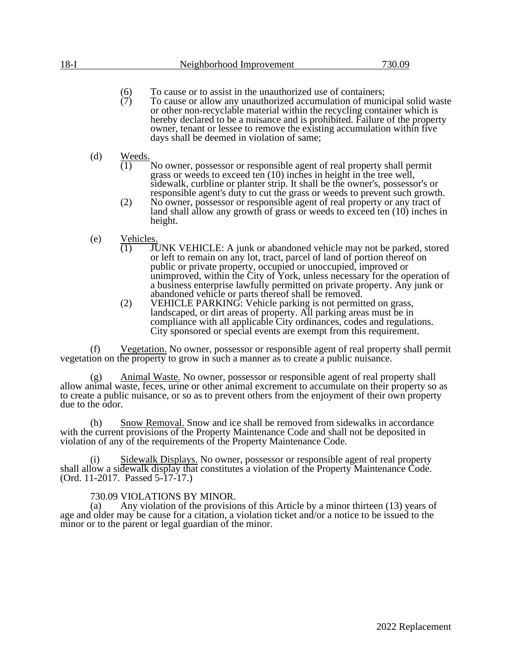- (6) To cause or to assist in the unauthorized use of containers;<br>(7) To cause or allow any unauthorized accumulation of munic
	- (7) To cause or allow any unauthorized accumulation of municipal solid waste or other non-recyclable material within the recycling container which is hereby declared to be a nuisance and is prohibited. Failure of the property owner, tenant or lessee to remove the existing accumulation within five days shall be deemed in violation of same;
- (d) Weeds.
	- No owner, possessor or responsible agent of real property shall permit grass or weeds to exceed ten (10) inches in height in the tree well, sidewalk, curbline or planter strip. It shall be the owner's, possessor's or responsible agent's duty to cut the grass or weeds to prevent such growth.
	- (2) No owner, possessor or responsible agent of real property or any tract of land shall allow any growth of grass or weeds to exceed ten (10) inches in height.
- (e)  $\frac{\text{Vehicles}}{(1) \text{ JU}}$ 
	- **JUNK VEHICLE:** A junk or abandoned vehicle may not be parked, stored or left to remain on any lot, tract, parcel of land of portion thereof on public or private property, occupied or unoccupied, improved or unimproved, within the City of York, unless necessary for the operation of a business enterprise lawfully permitted on private property. Any junk or abandoned vehicle or parts thereof shall be removed.
	- (2) VEHICLE PARKING: Vehicle parking is not permitted on grass, landscaped, or dirt areas of property. All parking areas must be in compliance with all applicable City ordinances, codes and regulations. City sponsored or special events are exempt from this requirement.

(f) Vegetation. No owner, possessor or responsible agent of real property shall permit vegetation on the property to grow in such a manner as to create a public nuisance.

(g) Animal Waste. No owner, possessor or responsible agent of real property shall allow animal waste, feces, urine or other animal excrement to accumulate on their property so as to create a public nuisance, or so as to prevent others from the enjoyment of their own property due to the odor.

(h) Snow Removal. Snow and ice shall be removed from sidewalks in accordance with the current provisions of the Property Maintenance Code and shall not be deposited in violation of any of the requirements of the Property Maintenance Code.

(i) Sidewalk Displays. No owner, possessor or responsible agent of real property shall allow a sidewalk display that constitutes a violation of the Property Maintenance Code. (Ord. 11-2017. Passed 5-17-17.)

## 730.09 VIOLATIONS BY MINOR.

(a) Any violation of the provisions of this Article by a minor thirteen (13) years of age and older may be cause for a citation, a violation ticket and/or a notice to be issued to the minor or to the parent or legal guardian of the minor.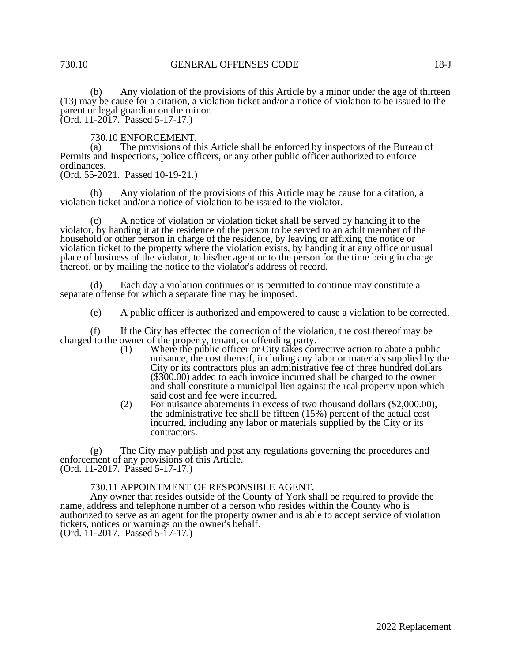(b) Any violation of the provisions of this Article by a minor under the age of thirteen (13) may be cause for a citation, a violation ticket and/or a notice of violation to be issued to the parent or legal guardian on the minor. (Ord. 11-2017. Passed 5-17-17.)

730.10 ENFORCEMENT.<br>(a) The provisions of the

The provisions of this Article shall be enforced by inspectors of the Bureau of Permits and Inspections, police officers, or any other public officer authorized to enforce ordinances.

(Ord. 55-2021. Passed 10-19-21.)

(b) Any violation of the provisions of this Article may be cause for a citation, a violation ticket and/or a notice of violation to be issued to the violator.

(c) A notice of violation or violation ticket shall be served by handing it to the violator, by handing it at the residence of the person to be served to an adult member of the household or other person in charge of the residence, by leaving or affixing the notice or violation ticket to the property where the violation exists, by handing it at any office or usual place of business of the violator, to his/her agent or to the person for the time being in charge thereof, or by mailing the notice to the violator's address of record.

(d) Each day a violation continues or is permitted to continue may constitute a separate offense for which a separate fine may be imposed.

(e) A public officer is authorized and empowered to cause a violation to be corrected.

(f) If the City has effected the correction of the violation, the cost thereof may be charged to the owner of the property, tenant, or offending party.

- (1) Where the public officer or City takes corrective action to abate a public nuisance, the cost thereof, including any labor or materials supplied by the City or its contractors plus an administrative fee of three hundred dollars (\$300.00) added to each invoice incurred shall be charged to the owner and shall constitute a municipal lien against the real property upon which said cost and fee were incurred.
- (2) For nuisance abatements in excess of two thousand dollars (\$2,000.00), the administrative fee shall be fifteen  $(15%)$  percent of the actual cost incurred, including any labor or materials supplied by the City or its contractors.

(g) The City may publish and post any regulations governing the procedures and enforcement of any provisions of this Article. (Ord. 11-2017. Passed 5-17-17.)

#### 730.11 APPOINTMENT OF RESPONSIBLE AGENT.

 Any owner that resides outside of the County of York shall be required to provide the name, address and telephone number of a person who resides within the County who is authorized to serve as an agent for the property owner and is able to accept service of violation tickets, notices or warnings on the owner's behalf. (Ord. 11-2017. Passed 5-17-17.)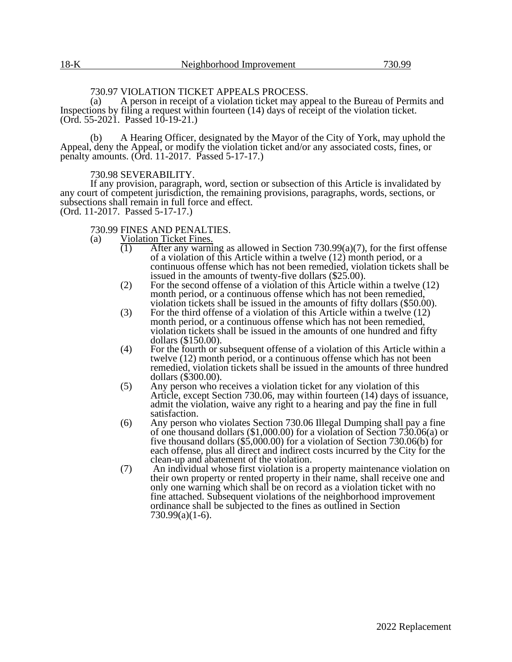### 730.97 VIOLATION TICKET APPEALS PROCESS.

(a) A person in receipt of a violation ticket may appeal to the Bureau of Permits and Inspections by filing a request within fourteen (14) days of receipt of the violation ticket. (Ord. 55-2021. Passed 10-19-21.)

(b) A Hearing Officer, designated by the Mayor of the City of York, may uphold the Appeal, deny the Appeal, or modify the violation ticket and/or any associated costs, fines, or penalty amounts. (Ord. 11-2017. Passed 5-17-17.)

#### 730.98 SEVERABILITY.

If any provision, paragraph, word, section or subsection of this Article is invalidated by any court of competent jurisdiction, the remaining provisions, paragraphs, words, sections, or subsections shall remain in full force and effect. (Ord. 11-2017. Passed 5-17-17.)

## 730.99 FINES AND PENALTIES.<br>(a) Violation Ticket Fines.

- Violation Ticket Fines.
	- (1) After any warning as allowed in Section 730.99(a)(7), for the first offense of a violation of this Article within a twelve (12) month period, or a continuous offense which has not been remedied, violation tickets shall be issued in the amounts of twenty-five dollars (\$25.00).
	- (2) For the second offense of a violation of this Article within a twelve (12) month period, or a continuous offense which has not been remedied, violation tickets shall be issued in the amounts of fifty dollars (\$50.00).
	- (3) For the third offense of a violation of this Article within a twelve  $(12)$ month period, or a continuous offense which has not been remedied, violation tickets shall be issued in the amounts of one hundred and fifty dollars (\$150.00).
	- (4) For the fourth or subsequent offense of a violation of this Article within a twelve (12) month period, or a continuous offense which has not been remedied, violation tickets shall be issued in the amounts of three hundred dollars (\$300.00).
	- (5) Any person who receives a violation ticket for any violation of this Article, except Section 730.06, may within fourteen (14) days of issuance, admit the violation, waive any right to a hearing and pay the fine in full satisfaction.
	- (6) Any person who violates Section 730.06 Illegal Dumping shall pay a fine of one thousand dollars (\$1,000.00) for a violation of Section 730.06(a) or five thousand dollars (\$5,000.00) for a violation of Section 730.06(b) for each offense, plus all direct and indirect costs incurred by the City for the clean-up and abatement of the violation.
	- (7) An individual whose first violation is a property maintenance violation on their own property or rented property in their name, shall receive one and only one warning which shall be on record as a violation ticket with no fine attached. Subsequent violations of the neighborhood improvement ordinance shall be subjected to the fines as outlined in Section 730.99(a)(1-6).